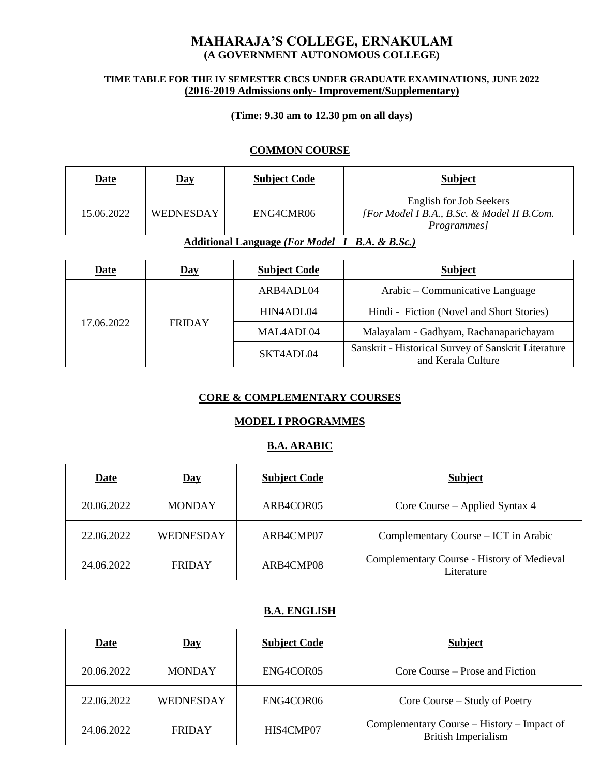# **MAHARAJA'S COLLEGE, ERNAKULAM (A GOVERNMENT AUTONOMOUS COLLEGE)**

#### **TIME TABLE FOR THE IV SEMESTER CBCS UNDER GRADUATE EXAMINATIONS, JUNE 2022 (2016-2019 Admissions only- Improvement/Supplementary)**

#### **(Time: 9.30 am to 12.30 pm on all days)**

#### **COMMON COURSE**

| <b>Date</b>                                            | $\mathbf{Day}$ | <b>Subject Code</b> | <b>Subject</b>                                                                        |
|--------------------------------------------------------|----------------|---------------------|---------------------------------------------------------------------------------------|
| 15.06.2022                                             | WEDNESDAY      | ENG4CMR06           | English for Job Seekers<br>[For Model I B.A., B.Sc. & Model II B.Com.]<br>Programmes] |
| Additional Language (For Model I R $\land$ R R $\&$ R) |                |                     |                                                                                       |

#### **Additional Language** *(For Model I B.A. & B.Sc.)*

| <b>Date</b> | <b>Day</b>    | <b>Subject Code</b> | <b>Subject</b>                                                            |
|-------------|---------------|---------------------|---------------------------------------------------------------------------|
|             | <b>FRIDAY</b> | ARB4ADL04           | Arabic – Communicative Language                                           |
|             |               | HIN4ADL04           | Hindi - Fiction (Novel and Short Stories)                                 |
| 17.06.2022  |               | MAL4ADL04           | Malayalam - Gadhyam, Rachanaparichayam                                    |
|             |               | SKT4ADL04           | Sanskrit - Historical Survey of Sanskrit Literature<br>and Kerala Culture |

#### **CORE & COMPLEMENTARY COURSES**

#### **MODEL I PROGRAMMES**

#### **B.A. ARABIC**

| <b>Date</b> | <u>Day</u>       | <b>Subject Code</b> | <b>Subject</b>                                           |
|-------------|------------------|---------------------|----------------------------------------------------------|
| 20.06.2022  | <b>MONDAY</b>    | ARB4COR05           | Core Course – Applied Syntax 4                           |
| 22.06.2022  | <b>WEDNESDAY</b> | ARB4CMP07           | Complementary Course – ICT in Arabic                     |
| 24.06.2022  | <b>FRIDAY</b>    | ARB4CMP08           | Complementary Course - History of Medieval<br>Literature |

#### **B.A. ENGLISH**

| <b>Date</b> | $\overline{\text{Day}}$ | <b>Subject Code</b> | <b>Subject</b>                                                           |
|-------------|-------------------------|---------------------|--------------------------------------------------------------------------|
| 20.06.2022  | <b>MONDAY</b>           | ENG4COR05           | Core Course – Prose and Fiction                                          |
| 22.06.2022  | <b>WEDNESDAY</b>        | ENG4COR06           | Core Course – Study of Poetry                                            |
| 24.06.2022  | <b>FRIDAY</b>           | HIS4CMP07           | Complementary Course – History – Impact of<br><b>British Imperialism</b> |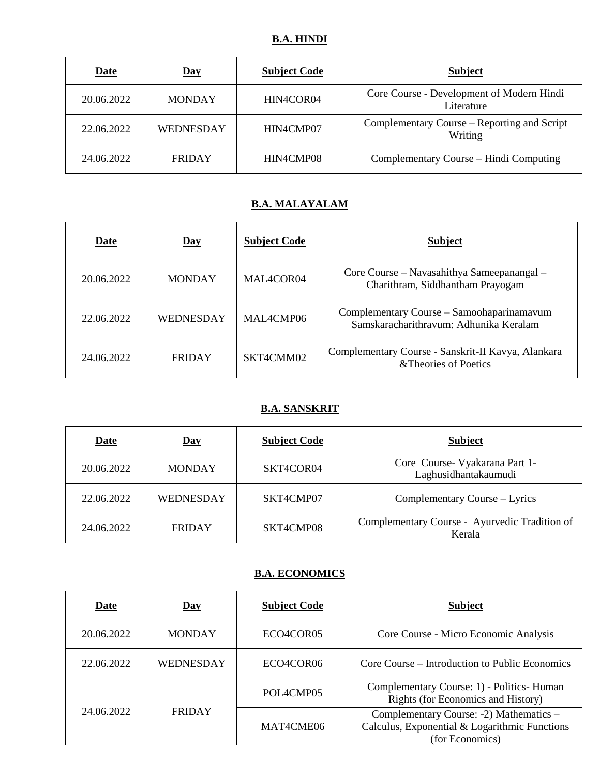| <b>Date</b> | <u>Day</u>       | <b>Subject Code</b> | <b>Subject</b>                                          |
|-------------|------------------|---------------------|---------------------------------------------------------|
| 20.06.2022  | <b>MONDAY</b>    | HIN4COR04           | Core Course - Development of Modern Hindi<br>Literature |
| 22.06.2022  | <b>WEDNESDAY</b> | HIN4CMP07           | Complementary Course – Reporting and Script<br>Writing  |
| 24.06.2022  | <b>FRIDAY</b>    | HIN4CMP08           | Complementary Course – Hindi Computing                  |

# **B.A. MALAYALAM**

| Date       | $\overline{Day}$ | <b>Subject Code</b> | <b>Subject</b>                                                                      |
|------------|------------------|---------------------|-------------------------------------------------------------------------------------|
| 20.06.2022 | <b>MONDAY</b>    | MAL4COR04           | Core Course – Navasahithya Sameepanangal –<br>Charithram, Siddhantham Prayogam      |
| 22.06.2022 | WEDNESDAY        | MAL4CMP06           | Complementary Course – Samoohaparinamavum<br>Samskaracharithravum: Adhunika Keralam |
| 24.06.2022 | <b>FRIDAY</b>    | SKT4CMM02           | Complementary Course - Sanskrit-II Kavya, Alankara<br>& Theories of Poetics         |

### **B.A. SANSKRIT**

| <b>Date</b> | $\mathbf{Day}$ | <b>Subject Code</b> | <b>Subject</b>                                          |
|-------------|----------------|---------------------|---------------------------------------------------------|
| 20.06.2022  | <b>MONDAY</b>  | SKT4COR04           | Core Course- Vyakarana Part 1-<br>Laghusidhantakaumudi  |
| 22.06.2022  | WEDNESDAY      | SKT4CMP07           | Complementary Course – Lyrics                           |
| 24.06.2022  | <b>FRIDAY</b>  | SKT4CMP08           | Complementary Course - Ayurvedic Tradition of<br>Kerala |

# **B.A. ECONOMICS**

| Date       | $\overline{\text{Day}}$ | <b>Subject Code</b>                | <b>Subject</b>                                                                                              |
|------------|-------------------------|------------------------------------|-------------------------------------------------------------------------------------------------------------|
| 20.06.2022 | <b>MONDAY</b>           | ECO <sub>4</sub> COR <sub>05</sub> | Core Course - Micro Economic Analysis                                                                       |
| 22.06.2022 | <b>WEDNESDAY</b>        | ECO4COR06                          | Core Course – Introduction to Public Economics                                                              |
|            |                         | POL4CMP05                          | Complementary Course: 1) - Politics- Human<br>Rights (for Economics and History)                            |
| 24.06.2022 | <b>FRIDAY</b>           | MAT4CME06                          | Complementary Course: -2) Mathematics -<br>Calculus, Exponential & Logarithmic Functions<br>(for Economics) |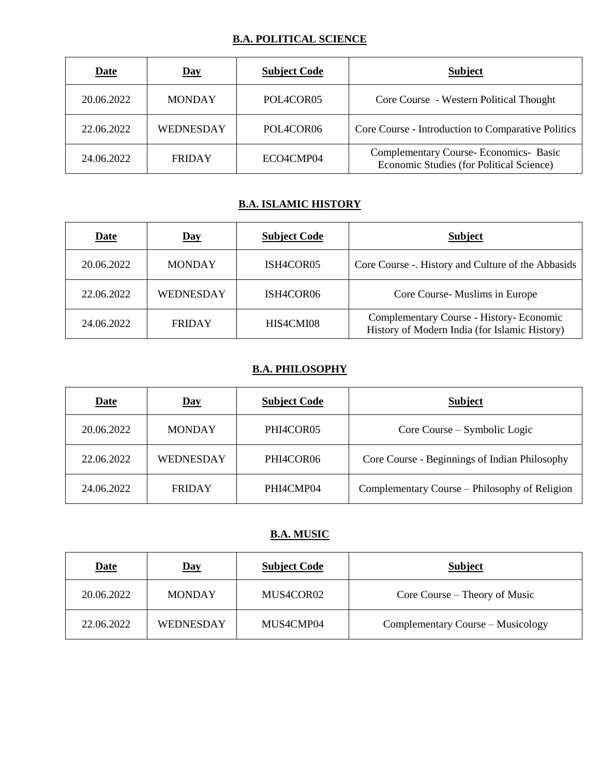# **B.A. POLITICAL SCIENCE**

| <b>Date</b> | <u>Day</u>       | <b>Subject Code</b>                | <b>Subject</b>                                                                     |
|-------------|------------------|------------------------------------|------------------------------------------------------------------------------------|
| 20.06.2022  | <b>MONDAY</b>    | POL <sub>4</sub> COR <sub>05</sub> | Core Course - Western Political Thought                                            |
| 22.06.2022  | <b>WEDNESDAY</b> | POL4COR06                          | Core Course - Introduction to Comparative Politics                                 |
| 24.06.2022  | <b>FRIDAY</b>    | ECO4CMP04                          | Complementary Course- Economics- Basic<br>Economic Studies (for Political Science) |

### **B.A. ISLAMIC HISTORY**

| <b>Date</b> | <u>Day</u>       | <b>Subject Code</b> | <b>Subject</b>                                                                            |
|-------------|------------------|---------------------|-------------------------------------------------------------------------------------------|
| 20.06.2022  | <b>MONDAY</b>    | ISH4COR05           | Core Course -. History and Culture of the Abbasids                                        |
| 22.06.2022  | <b>WEDNESDAY</b> | ISH4COR06           | Core Course-Muslims in Europe                                                             |
| 24.06.2022  | <b>FRIDAY</b>    | HIS4CMI08           | Complementary Course - History- Economic<br>History of Modern India (for Islamic History) |

# **B.A. PHILOSOPHY**

| <b>Date</b> | $\overline{\text{Day}}$ | <b>Subject Code</b> | <b>Subject</b>                                |
|-------------|-------------------------|---------------------|-----------------------------------------------|
| 20.06.2022  | <b>MONDAY</b>           | PHI4COR05           | Core Course – Symbolic Logic                  |
| 22.06.2022  | <b>WEDNESDAY</b>        | PHI4COR06           | Core Course - Beginnings of Indian Philosophy |
| 24.06.2022  | <b>FRIDAY</b>           | PHI4CMP04           | Complementary Course – Philosophy of Religion |

### **B.A. MUSIC**

| <u>Date</u> | <u>Day</u>       | <b>Subject Code</b> | <b>Subject</b>                    |
|-------------|------------------|---------------------|-----------------------------------|
| 20.06.2022  | <b>MONDAY</b>    | MUS4COR02           | Core Course – Theory of Music     |
| 22.06.2022  | <b>WEDNESDAY</b> | MUS4CMP04           | Complementary Course – Musicology |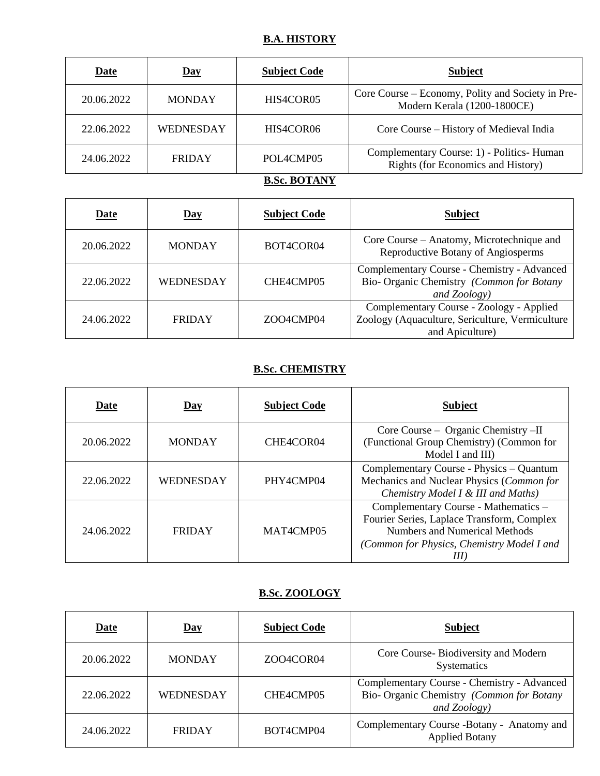# **B.A. HISTORY**

| <b>Date</b> | $\overline{\text{Day}}$ | <b>Subject Code</b> | <b>Subject</b>                                                                   |
|-------------|-------------------------|---------------------|----------------------------------------------------------------------------------|
| 20.06.2022  | <b>MONDAY</b>           | HIS4COR05           | Core Course – Economy, Polity and Society in Pre-<br>Modern Kerala (1200-1800CE) |
| 22.06.2022  | <b>WEDNESDAY</b>        | HIS4COR06           | Core Course – History of Medieval India                                          |
| 24.06.2022  | <b>FRIDAY</b>           | POL4CMP05           | Complementary Course: 1) - Politics- Human<br>Rights (for Economics and History) |

**B.Sc. BOTANY**

| Date       | Day           | <b>Subject Code</b> | <b>Subject</b>                                                                                                 |
|------------|---------------|---------------------|----------------------------------------------------------------------------------------------------------------|
| 20.06.2022 | <b>MONDAY</b> | BOT4COR04           | Core Course – Anatomy, Microtechnique and<br>Reproductive Botany of Angiosperms                                |
| 22.06.2022 | WEDNESDAY     | CHE4CMP05           | Complementary Course - Chemistry - Advanced<br>Bio- Organic Chemistry (Common for Botany<br>and Zoology)       |
| 24.06.2022 | <b>FRIDAY</b> | ZOO4CMP04           | Complementary Course - Zoology - Applied<br>Zoology (Aquaculture, Sericulture, Vermiculture<br>and Apiculture) |

# **B.Sc. CHEMISTRY**

| Date       | Day           | <b>Subject Code</b>                | <b>Subject</b>                                                                                                                                                    |
|------------|---------------|------------------------------------|-------------------------------------------------------------------------------------------------------------------------------------------------------------------|
| 20.06.2022 | <b>MONDAY</b> | CHE4COR04                          | Core Course – Organic Chemistry –II<br>(Functional Group Chemistry) (Common for<br>Model I and III)                                                               |
| 22.06.2022 | WEDNESDAY     | PHY4CMP04                          | Complementary Course - Physics - Quantum<br>Mechanics and Nuclear Physics (Common for<br>Chemistry Model I & III and Maths)                                       |
| 24.06.2022 | <b>FRIDAY</b> | MAT <sub>4</sub> CMP <sub>05</sub> | Complementary Course - Mathematics -<br>Fourier Series, Laplace Transform, Complex<br>Numbers and Numerical Methods<br>(Common for Physics, Chemistry Model I and |

# **B.Sc. ZOOLOGY**

| Date       | $\mathbf{Day}$ | <b>Subject Code</b> | <b>Subject</b>                                                                                           |
|------------|----------------|---------------------|----------------------------------------------------------------------------------------------------------|
| 20.06.2022 | <b>MONDAY</b>  | ZOO4COR04           | Core Course-Biodiversity and Modern<br>Systematics                                                       |
| 22.06.2022 | WEDNESDAY      | CHE4CMP05           | Complementary Course - Chemistry - Advanced<br>Bio- Organic Chemistry (Common for Botany<br>and Zoology) |
| 24.06.2022 | <b>FRIDAY</b>  | BOT4CMP04           | Complementary Course -Botany - Anatomy and<br><b>Applied Botany</b>                                      |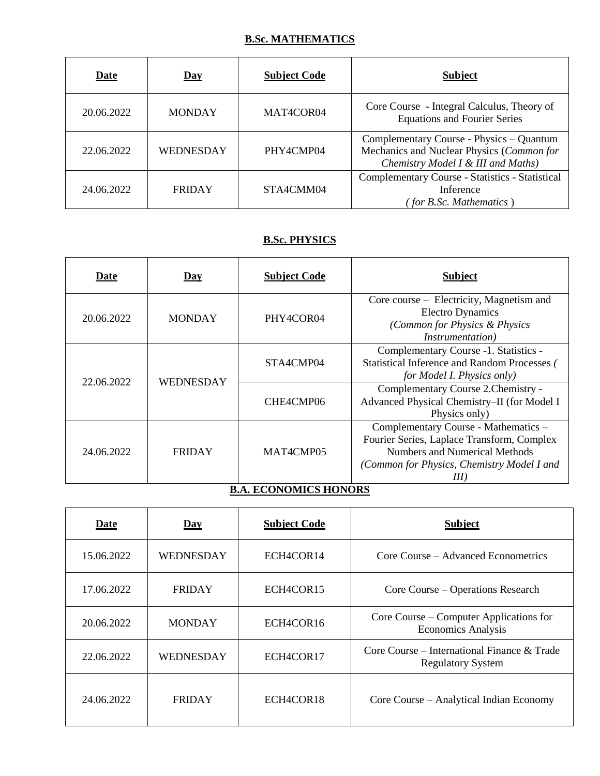# **B.Sc. MATHEMATICS**

| <b>Date</b> | $\overline{\text{Day}}$ | <b>Subject Code</b> | <b>Subject</b>                                                                                                              |
|-------------|-------------------------|---------------------|-----------------------------------------------------------------------------------------------------------------------------|
| 20.06.2022  | <b>MONDAY</b>           | MAT4COR04           | Core Course - Integral Calculus, Theory of<br><b>Equations and Fourier Series</b>                                           |
| 22.06.2022  | <b>WEDNESDAY</b>        | PHY4CMP04           | Complementary Course - Physics - Quantum<br>Mechanics and Nuclear Physics (Common for<br>Chemistry Model I & III and Maths) |
| 24.06.2022  | <b>FRIDAY</b>           | STA4CMM04           | Complementary Course - Statistics - Statistical<br>Inference<br>(for B.Sc. Mathematics)                                     |

# **B.Sc. PHYSICS**

| Date                         | Day              | <b>Subject Code</b> | <b>Subject</b>                                                                                                                                                                |
|------------------------------|------------------|---------------------|-------------------------------------------------------------------------------------------------------------------------------------------------------------------------------|
| 20.06.2022                   | <b>MONDAY</b>    | PHY4COR04           | Core course – Electricity, Magnetism and<br><b>Electro Dynamics</b><br>(Common for Physics & Physics<br><i>Instrumentation</i> )                                              |
| 22.06.2022                   |                  | STA4CMP04           | Complementary Course -1. Statistics -<br>Statistical Inference and Random Processes (<br>for Model I. Physics only)                                                           |
|                              | <b>WEDNESDAY</b> | CHE4CMP06           | Complementary Course 2. Chemistry -<br>Advanced Physical Chemistry-II (for Model I<br>Physics only)                                                                           |
| 24.06.2022                   | <b>FRIDAY</b>    | MAT4CMP05           | Complementary Course - Mathematics -<br>Fourier Series, Laplace Transform, Complex<br><b>Numbers and Numerical Methods</b><br>(Common for Physics, Chemistry Model I and<br>Ш |
| <b>B.A. ECONOMICS HONORS</b> |                  |                     |                                                                                                                                                                               |

| Date       | $Day$            | <b>Subject Code</b> | <b>Subject</b>                                                          |
|------------|------------------|---------------------|-------------------------------------------------------------------------|
| 15.06.2022 | <b>WEDNESDAY</b> | ECH4COR14           | Core Course – Advanced Econometrics                                     |
| 17.06.2022 | <b>FRIDAY</b>    | ECH4COR15           | Core Course – Operations Research                                       |
| 20.06.2022 | <b>MONDAY</b>    | ECH4COR16           | Core Course – Computer Applications for<br><b>Economics Analysis</b>    |
| 22.06.2022 | <b>WEDNESDAY</b> | ECH4COR17           | Core Course – International Finance & Trade<br><b>Regulatory System</b> |
| 24.06.2022 | <b>FRIDAY</b>    | ECH4COR18           | Core Course – Analytical Indian Economy                                 |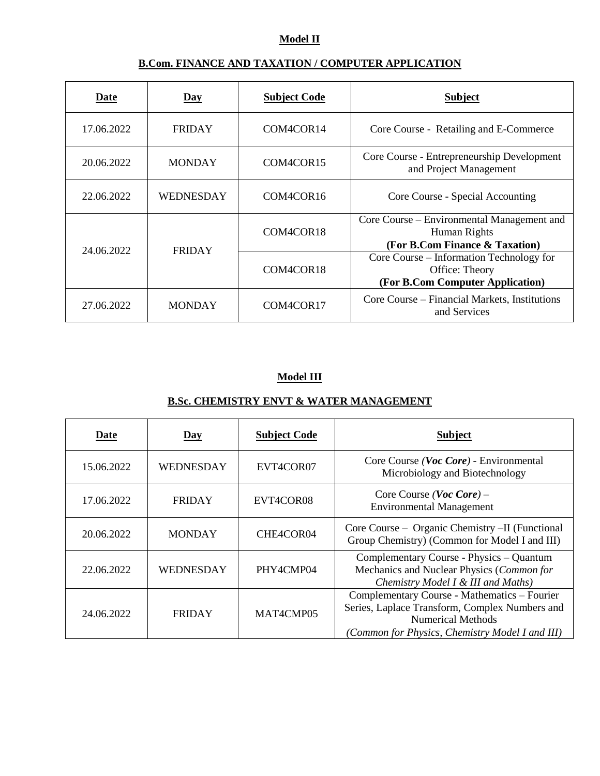# **Model II**

# **B.Com. FINANCE AND TAXATION / COMPUTER APPLICATION**

| Date       | Day              | <b>Subject Code</b>                | <b>Subject</b>                                                                                 |
|------------|------------------|------------------------------------|------------------------------------------------------------------------------------------------|
| 17.06.2022 | <b>FRIDAY</b>    | COM4COR14                          | Core Course - Retailing and E-Commerce                                                         |
| 20.06.2022 | <b>MONDAY</b>    | COM4COR15                          | Core Course - Entrepreneurship Development<br>and Project Management                           |
| 22.06.2022 | <b>WEDNESDAY</b> | COM <sub>4</sub> COR <sub>16</sub> | Core Course - Special Accounting                                                               |
|            |                  | COM4COR18                          | Core Course – Environmental Management and<br>Human Rights<br>(For B.Com Finance & Taxation)   |
| 24.06.2022 | <b>FRIDAY</b>    | COM <sub>4</sub> COR <sub>18</sub> | Core Course – Information Technology for<br>Office: Theory<br>(For B.Com Computer Application) |
| 27.06.2022 | <b>MONDAY</b>    | COM4COR17                          | Core Course – Financial Markets, Institutions<br>and Services                                  |

### **Model III**

### **B.Sc. CHEMISTRY ENVT & WATER MANAGEMENT**

| Date       | $\overline{Day}$ | <b>Subject Code</b> | <b>Subject</b>                                                                                                                                                                |
|------------|------------------|---------------------|-------------------------------------------------------------------------------------------------------------------------------------------------------------------------------|
| 15.06.2022 | WEDNESDAY        | EVT4COR07           | Core Course (Voc Core) - Environmental<br>Microbiology and Biotechnology                                                                                                      |
| 17.06.2022 | <b>FRIDAY</b>    | EVT4COR08           | Core Course ( <i>Voc Core</i> ) –<br><b>Environmental Management</b>                                                                                                          |
| 20.06.2022 | <b>MONDAY</b>    | CHE4COR04           | Core Course – Organic Chemistry –II (Functional<br>Group Chemistry) (Common for Model I and III)                                                                              |
| 22.06.2022 | WEDNESDAY        | PHY4CMP04           | Complementary Course - Physics - Quantum<br>Mechanics and Nuclear Physics (Common for<br>Chemistry Model I & III and Maths)                                                   |
| 24.06.2022 | <b>FRIDAY</b>    | MAT4CMP05           | Complementary Course - Mathematics - Fourier<br>Series, Laplace Transform, Complex Numbers and<br><b>Numerical Methods</b><br>(Common for Physics, Chemistry Model I and III) |